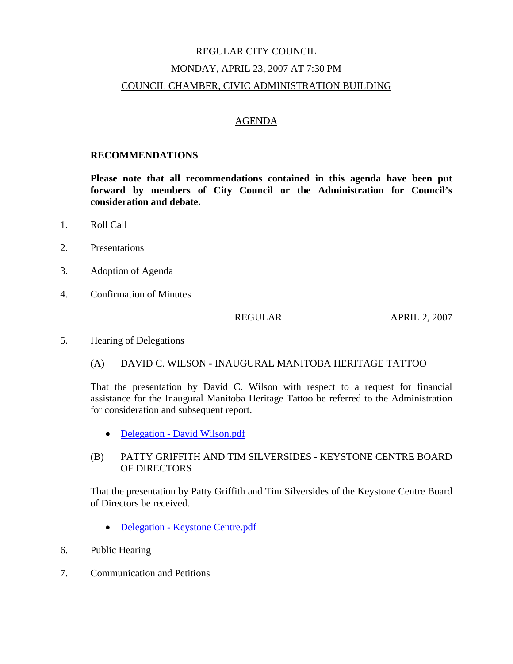# REGULAR CITY COUNCIL MONDAY, APRIL 23, 2007 AT 7:30 PM COUNCIL CHAMBER, CIVIC ADMINISTRATION BUILDING

#### AGENDA

#### **RECOMMENDATIONS**

**Please note that all recommendations contained in this agenda have been put forward by members of City Council or the Administration for Council's consideration and debate.** 

- 1. Roll Call
- 2. Presentations
- 3. Adoption of Agenda
- 4. Confirmation of Minutes

REGULAR APRIL 2, 2007

5. Hearing of Delegations

#### (A) DAVID C. WILSON - INAUGURAL MANITOBA HERITAGE TATTOO

That the presentation by David C. Wilson with respect to a request for financial assistance for the Inaugural Manitoba Heritage Tattoo be referred to the Administration for consideration and subsequent report.

• Delegation - David Wilson.pdf

#### (B) PATTY GRIFFITH AND TIM SILVERSIDES - KEYSTONE CENTRE BOARD OF DIRECTORS

That the presentation by Patty Griffith and Tim Silversides of the Keystone Centre Board of Directors be received.

- Delegation Keystone Centre.pdf
- 6. Public Hearing
- 7. Communication and Petitions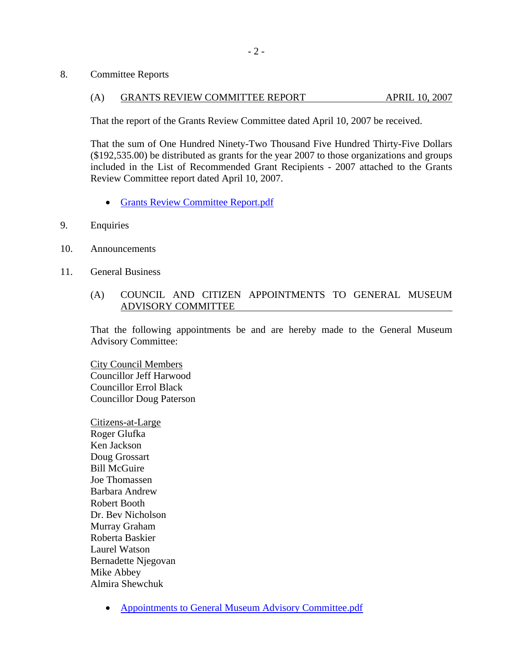8. Committee Reports

#### (A) GRANTS REVIEW COMMITTEE REPORT APRIL 10, 2007

That the report of the Grants Review Committee dated April 10, 2007 be received.

That the sum of One Hundred Ninety-Two Thousand Five Hundred Thirty-Five Dollars (\$192,535.00) be distributed as grants for the year 2007 to those organizations and groups included in the List of Recommended Grant Recipients - 2007 attached to the Grants Review Committee report dated April 10, 2007.

- Grants Review Committee Report.pdf
- 9. Enquiries
- 10. Announcements
- 11. General Business

#### (A) COUNCIL AND CITIZEN APPOINTMENTS TO GENERAL MUSEUM ADVISORY COMMITTEE

That the following appointments be and are hereby made to the General Museum Advisory Committee:

City Council Members Councillor Jeff Harwood Councillor Errol Black Councillor Doug Paterson

Citizens-at-Large Roger Glufka Ken Jackson Doug Grossart Bill McGuire Joe Thomassen Barbara Andrew Robert Booth Dr. Bev Nicholson Murray Graham Roberta Baskier Laurel Watson Bernadette Njegovan Mike Abbey Almira Shewchuk

• Appointments to General Museum Advisory Committee.pdf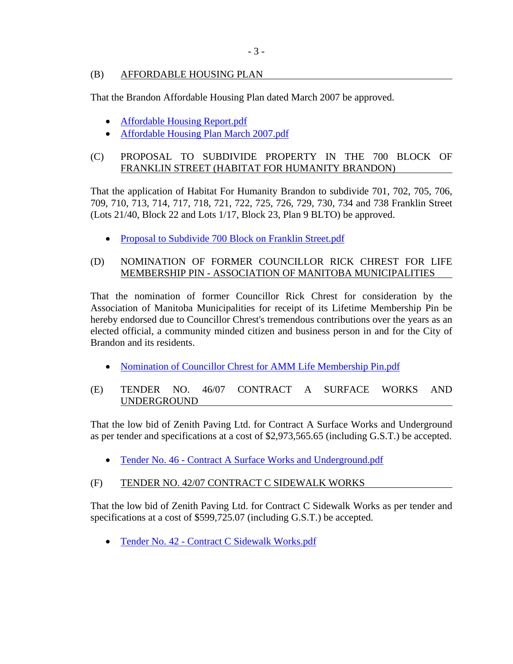## (B) AFFORDABLE HOUSING PLAN

That the Brandon Affordable Housing Plan dated March 2007 be approved.

- Affordable Housing Report.pdf
- Affordable Housing Plan March 2007.pdf

# (C) PROPOSAL TO SUBDIVIDE PROPERTY IN THE 700 BLOCK OF FRANKLIN STREET (HABITAT FOR HUMANITY BRANDON)

That the application of Habitat For Humanity Brandon to subdivide 701, 702, 705, 706, 709, 710, 713, 714, 717, 718, 721, 722, 725, 726, 729, 730, 734 and 738 Franklin Street (Lots 21/40, Block 22 and Lots 1/17, Block 23, Plan 9 BLTO) be approved.

• Proposal to Subdivide 700 Block on Franklin Street.pdf

## (D) NOMINATION OF FORMER COUNCILLOR RICK CHREST FOR LIFE MEMBERSHIP PIN - ASSOCIATION OF MANITOBA MUNICIPALITIES

That the nomination of former Councillor Rick Chrest for consideration by the Association of Manitoba Municipalities for receipt of its Lifetime Membership Pin be hereby endorsed due to Councillor Chrest's tremendous contributions over the years as an elected official, a community minded citizen and business person in and for the City of Brandon and its residents.

• Nomination of Councillor Chrest for AMM Life Membership Pin.pdf

## (E) TENDER NO. 46/07 CONTRACT A SURFACE WORKS AND UNDERGROUND

That the low bid of Zenith Paving Ltd. for Contract A Surface Works and Underground as per tender and specifications at a cost of \$2,973,565.65 (including G.S.T.) be accepted.

• Tender No. 46 - Contract A Surface Works and Underground.pdf

## (F) TENDER NO. 42/07 CONTRACT C SIDEWALK WORKS

That the low bid of Zenith Paving Ltd. for Contract C Sidewalk Works as per tender and specifications at a cost of \$599,725.07 (including G.S.T.) be accepted.

• Tender No. 42 - Contract C Sidewalk Works.pdf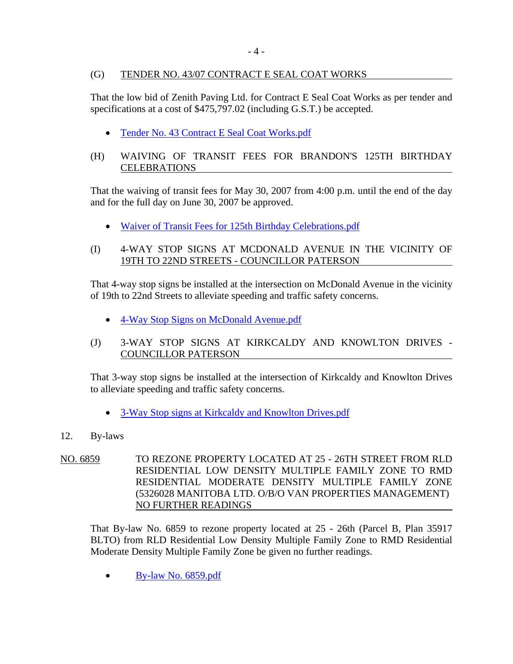# (G) TENDER NO. 43/07 CONTRACT E SEAL COAT WORKS

That the low bid of Zenith Paving Ltd. for Contract E Seal Coat Works as per tender and specifications at a cost of \$475,797.02 (including G.S.T.) be accepted.

• Tender No. 43 Contract E Seal Coat Works.pdf

# (H) WAIVING OF TRANSIT FEES FOR BRANDON'S 125TH BIRTHDAY **CELEBRATIONS**

That the waiving of transit fees for May 30, 2007 from 4:00 p.m. until the end of the day and for the full day on June 30, 2007 be approved.

- Waiver of Transit Fees for 125th Birthday Celebrations.pdf
- (I) 4-WAY STOP SIGNS AT MCDONALD AVENUE IN THE VICINITY OF 19TH TO 22ND STREETS - COUNCILLOR PATERSON

That 4-way stop signs be installed at the intersection on McDonald Avenue in the vicinity of 19th to 22nd Streets to alleviate speeding and traffic safety concerns.

- 4-Way Stop Signs on McDonald Avenue.pdf
- (J) 3-WAY STOP SIGNS AT KIRKCALDY AND KNOWLTON DRIVES COUNCILLOR PATERSON

That 3-way stop signs be installed at the intersection of Kirkcaldy and Knowlton Drives to alleviate speeding and traffic safety concerns.

- 3-Way Stop signs at Kirkcaldy and Knowlton Drives.pdf
- 12. By-laws
- NO. 6859 TO REZONE PROPERTY LOCATED AT 25 26TH STREET FROM RLD RESIDENTIAL LOW DENSITY MULTIPLE FAMILY ZONE TO RMD RESIDENTIAL MODERATE DENSITY MULTIPLE FAMILY ZONE (5326028 MANITOBA LTD. O/B/O VAN PROPERTIES MANAGEMENT) NO FURTHER READINGS

That By-law No. 6859 to rezone property located at 25 - 26th (Parcel B, Plan 35917 BLTO) from RLD Residential Low Density Multiple Family Zone to RMD Residential Moderate Density Multiple Family Zone be given no further readings.

• By-law No. 6859.pdf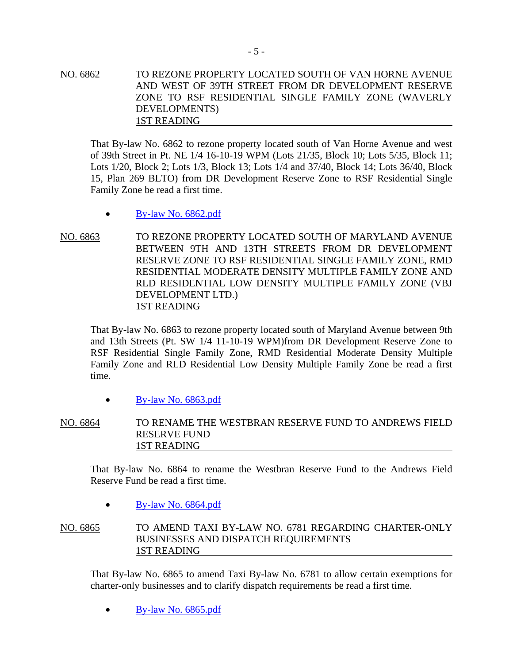NO. 6862 TO REZONE PROPERTY LOCATED SOUTH OF VAN HORNE AVENUE AND WEST OF 39TH STREET FROM DR DEVELOPMENT RESERVE ZONE TO RSF RESIDENTIAL SINGLE FAMILY ZONE (WAVERLY DEVELOPMENTS) 1ST READING

That By-law No. 6862 to rezone property located south of Van Horne Avenue and west of 39th Street in Pt. NE 1/4 16-10-19 WPM (Lots 21/35, Block 10; Lots 5/35, Block 11; Lots 1/20, Block 2; Lots 1/3, Block 13; Lots 1/4 and 37/40, Block 14; Lots 36/40, Block 15, Plan 269 BLTO) from DR Development Reserve Zone to RSF Residential Single Family Zone be read a first time.

- $\bullet$  By-law No. 6862.pdf
- NO. 6863 TO REZONE PROPERTY LOCATED SOUTH OF MARYLAND AVENUE BETWEEN 9TH AND 13TH STREETS FROM DR DEVELOPMENT RESERVE ZONE TO RSF RESIDENTIAL SINGLE FAMILY ZONE, RMD RESIDENTIAL MODERATE DENSITY MULTIPLE FAMILY ZONE AND RLD RESIDENTIAL LOW DENSITY MULTIPLE FAMILY ZONE (VBJ DEVELOPMENT LTD.) 1ST READING

That By-law No. 6863 to rezone property located south of Maryland Avenue between 9th and 13th Streets (Pt. SW 1/4 11-10-19 WPM)from DR Development Reserve Zone to RSF Residential Single Family Zone, RMD Residential Moderate Density Multiple Family Zone and RLD Residential Low Density Multiple Family Zone be read a first time.

- $\bullet$  By-law No. 6863.pdf
- NO. 6864 TO RENAME THE WESTBRAN RESERVE FUND TO ANDREWS FIELD RESERVE FUND 1ST READING

That By-law No. 6864 to rename the Westbran Reserve Fund to the Andrews Field Reserve Fund be read a first time.

 $\bullet$  By-law No. 6864.pdf

NO. 6865 TO AMEND TAXI BY-LAW NO. 6781 REGARDING CHARTER-ONLY BUSINESSES AND DISPATCH REQUIREMENTS 1ST READING

That By-law No. 6865 to amend Taxi By-law No. 6781 to allow certain exemptions for charter-only businesses and to clarify dispatch requirements be read a first time.

• By-law No. 6865.pdf